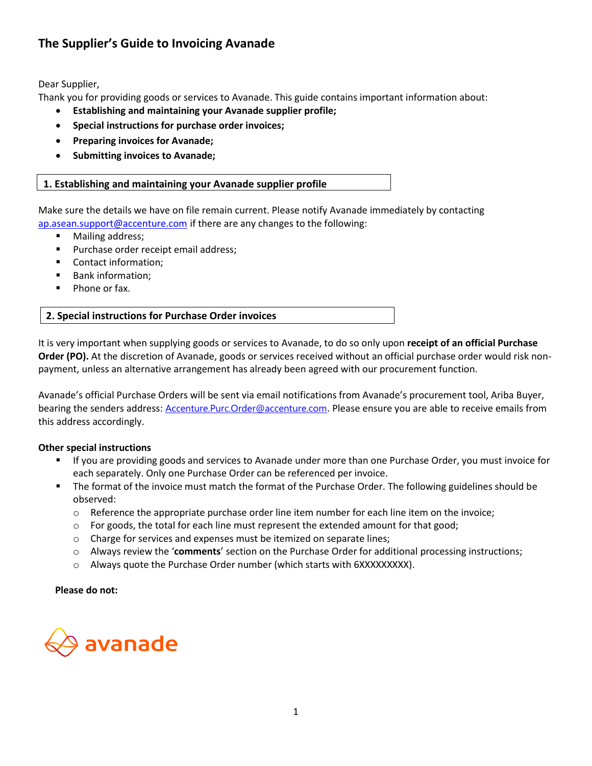# **The Supplier's Guide to Invoicing Avanade**

Dear Supplier,

Thank you for providing goods or services to Avanade. This guide contains important information about:

- **Establishing and maintaining your Avanade supplier profile;**
- **Special instructions for purchase order invoices;**
- **Preparing invoices for Avanade;**
- **Submitting invoices to Avanade;**

# **1. Establishing and maintaining your Avanade supplier profile**

Make sure the details we have on file remain current. Please notify Avanade immediately by contacting [ap.asean.support@accenture.com](mailto:ap.asean.support@accenture.com) if there are any changes to the following:

- Mailing address;
- Purchase order receipt email address;
- Contact information;
- Bank information;
- Phone or fax.

# **2. Special instructions for Purchase Order invoices**

It is very important when supplying goods or services to Avanade, to do so only upon **receipt of an official Purchase Order (PO).** At the discretion of Avanade, goods or services received without an official purchase order would risk nonpayment, unless an alternative arrangement has already been agreed with our procurement function.

Avanade's official Purchase Orders will be sent via email notifications from Avanade's procurement tool, Ariba Buyer, bearing the senders address: [Accenture.Purc.Order@accenture.com](mailto:Accenture.Purc.Order@accenture.com). Please ensure you are able to receive emails from this address accordingly.

# **Other special instructions**

- If you are providing goods and services to Avanade under more than one Purchase Order, you must invoice for each separately. Only one Purchase Order can be referenced per invoice.
- The format of the invoice must match the format of the Purchase Order. The following guidelines should be observed:
	- $\circ$  Reference the appropriate purchase order line item number for each line item on the invoice;
	- $\circ$  For goods, the total for each line must represent the extended amount for that good;
	- o Charge for services and expenses must be itemized on separate lines;
	- o Always review the '**comments**' section on the Purchase Order for additional processing instructions;
	- o Always quote the Purchase Order number (which starts with 6XXXXXXXXX).

#### **Please do not:**

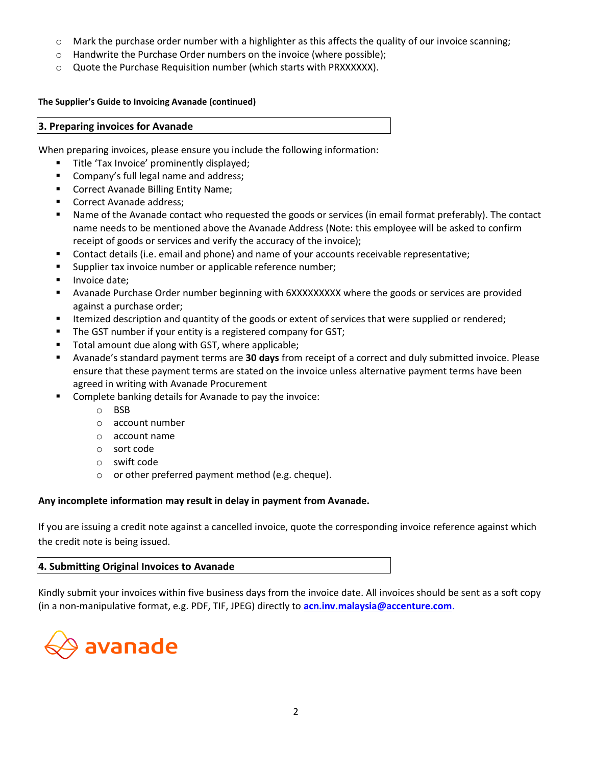- $\circ$  Mark the purchase order number with a highlighter as this affects the quality of our invoice scanning;
- o Handwrite the Purchase Order numbers on the invoice (where possible);
- o Quote the Purchase Requisition number (which starts with PRXXXXXX).

# **The Supplier's Guide to Invoicing Avanade (continued)**

### **3. Preparing invoices for Avanade**

When preparing invoices, please ensure you include the following information:

- Title 'Tax Invoice' prominently displayed;
- Company's full legal name and address;
- Correct Avanade Billing Entity Name;
- Correct Avanade address;
- Name of the Avanade contact who requested the goods or services (in email format preferably). The contact name needs to be mentioned above the Avanade Address (Note: this employee will be asked to confirm receipt of goods or services and verify the accuracy of the invoice);
- Contact details (i.e. email and phone) and name of your accounts receivable representative;
- Supplier tax invoice number or applicable reference number;
- Invoice date;
- Avanade Purchase Order number beginning with 6XXXXXXXXX where the goods or services are provided against a purchase order;
- Itemized description and quantity of the goods or extent of services that were supplied or rendered;
- The GST number if your entity is a registered company for GST;
- Total amount due along with GST, where applicable;
- Avanade's standard payment terms are **30 days** from receipt of a correct and duly submitted invoice. Please ensure that these payment terms are stated on the invoice unless alternative payment terms have been agreed in writing with Avanade Procurement
- Complete banking details for Avanade to pay the invoice:
	- o BSB
	- o account number
	- o account name
	- o sort code
	- o swift code
	- o or other preferred payment method (e.g. cheque).

# **Any incomplete information may result in delay in payment from Avanade.**

If you are issuing a credit note against a cancelled invoice, quote the corresponding invoice reference against which the credit note is being issued.

# **4. Submitting Original Invoices to Avanade**

Kindly submit your invoices within five business days from the invoice date. All invoices should be sent as a soft copy (in a non-manipulative format, e.g. PDF, TIF, JPEG) directly to **[acn.inv.malaysia@accenture.com](mailto:acn.inv.malaysia@accenture.com)**.